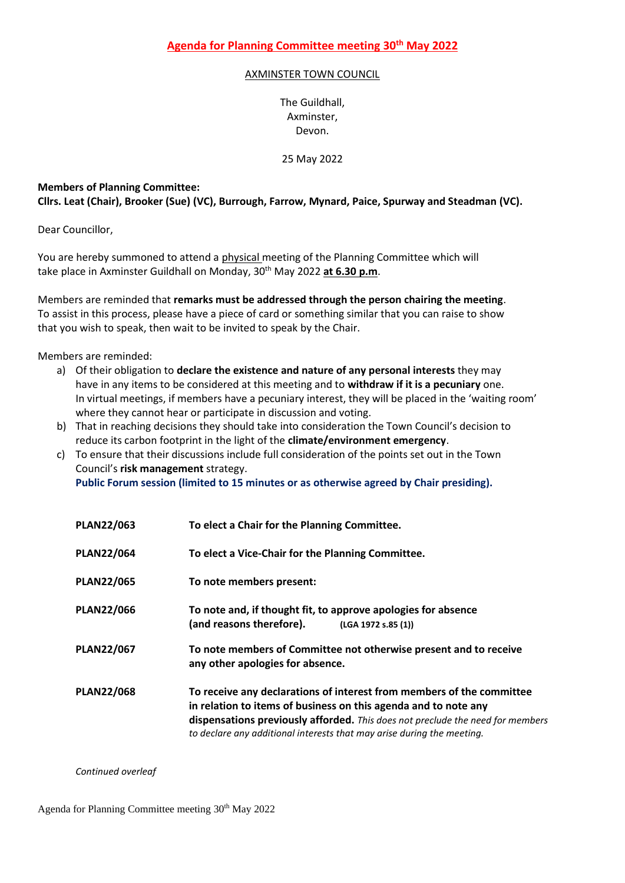## AXMINSTER TOWN COUNCIL

The Guildhall, Axminster, Devon.

25 May 2022

## **Members of Planning Committee:**

**Cllrs. Leat (Chair), Brooker (Sue) (VC), Burrough, Farrow, Mynard, Paice, Spurway and Steadman (VC).**

Dear Councillor,

You are hereby summoned to attend a physical meeting of the Planning Committee which will take place in Axminster Guildhall on Monday, 30<sup>th</sup> May 2022 at 6.30 p.m.

Members are reminded that **remarks must be addressed through the person chairing the meeting**. To assist in this process, please have a piece of card or something similar that you can raise to show that you wish to speak, then wait to be invited to speak by the Chair.

Members are reminded:

- a) Of their obligation to **declare the existence and nature of any personal interests** they may have in any items to be considered at this meeting and to **withdraw if it is a pecuniary** one. In virtual meetings, if members have a pecuniary interest, they will be placed in the 'waiting room' where they cannot hear or participate in discussion and voting.
- b) That in reaching decisions they should take into consideration the Town Council's decision to reduce its carbon footprint in the light of the **climate/environment emergency**.
- c) To ensure that their discussions include full consideration of the points set out in the Town Council's **risk management** strategy. **Public Forum session (limited to 15 minutes or as otherwise agreed by Chair presiding).**

| <b>PLAN22/063</b> | To elect a Chair for the Planning Committee.                                                                                                                                                                                                                                                         |
|-------------------|------------------------------------------------------------------------------------------------------------------------------------------------------------------------------------------------------------------------------------------------------------------------------------------------------|
| <b>PLAN22/064</b> | To elect a Vice-Chair for the Planning Committee.                                                                                                                                                                                                                                                    |
| <b>PLAN22/065</b> | To note members present:                                                                                                                                                                                                                                                                             |
| <b>PLAN22/066</b> | To note and, if thought fit, to approve apologies for absence<br>(and reasons therefore).<br>(LGA 1972 s.85 (1))                                                                                                                                                                                     |
| <b>PLAN22/067</b> | To note members of Committee not otherwise present and to receive<br>any other apologies for absence.                                                                                                                                                                                                |
| <b>PLAN22/068</b> | To receive any declarations of interest from members of the committee<br>in relation to items of business on this agenda and to note any<br>dispensations previously afforded. This does not preclude the need for members<br>to declare any additional interests that may arise during the meeting. |

*Continued overleaf*

Agenda for Planning Committee meeting 30<sup>th</sup> May 2022